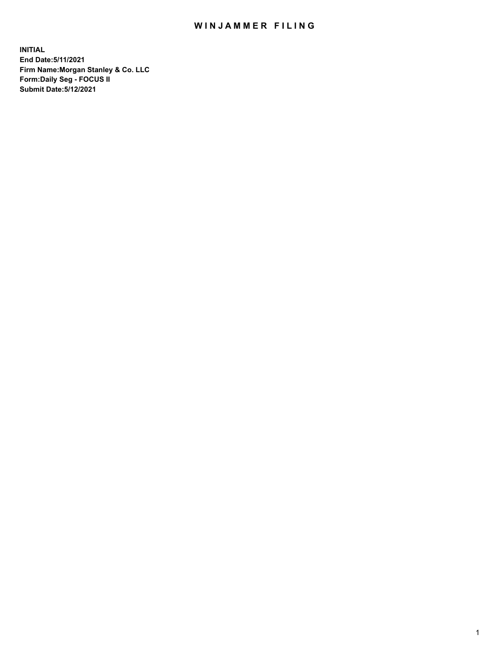## WIN JAMMER FILING

**INITIAL End Date:5/11/2021 Firm Name:Morgan Stanley & Co. LLC Form:Daily Seg - FOCUS II Submit Date:5/12/2021**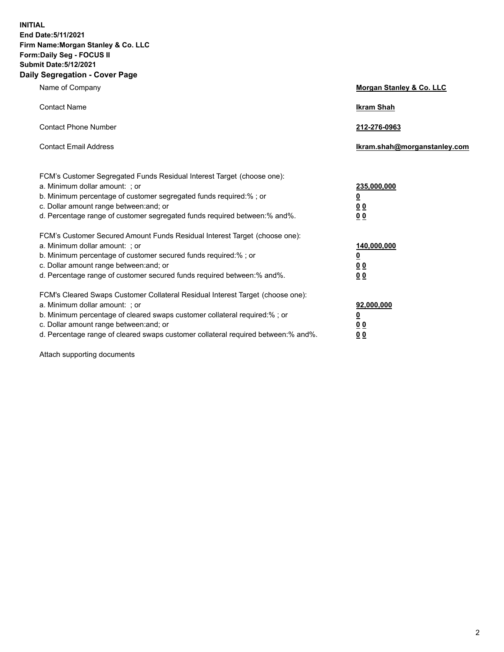**INITIAL End Date:5/11/2021 Firm Name:Morgan Stanley & Co. LLC Form:Daily Seg - FOCUS II Submit Date:5/12/2021 Daily Segregation - Cover Page**

| Name of Company                                                                                          | Morgan Stanley & Co. LLC     |
|----------------------------------------------------------------------------------------------------------|------------------------------|
| <b>Contact Name</b>                                                                                      | <b>Ikram Shah</b>            |
| <b>Contact Phone Number</b>                                                                              | 212-276-0963                 |
| <b>Contact Email Address</b>                                                                             | Ikram.shah@morganstanley.com |
|                                                                                                          |                              |
| FCM's Customer Segregated Funds Residual Interest Target (choose one):<br>a. Minimum dollar amount: ; or | 235,000,000                  |
| b. Minimum percentage of customer segregated funds required:% ; or                                       | <u>0</u>                     |
| c. Dollar amount range between: and; or                                                                  | <u>00</u>                    |
| d. Percentage range of customer segregated funds required between: % and %.                              | 0 <sup>0</sup>               |
| FCM's Customer Secured Amount Funds Residual Interest Target (choose one):                               |                              |
| a. Minimum dollar amount: ; or                                                                           | 140,000,000                  |
| b. Minimum percentage of customer secured funds required:% ; or                                          | <u>0</u>                     |
| c. Dollar amount range between: and; or                                                                  | <u>0 0</u>                   |
| d. Percentage range of customer secured funds required between:% and%.                                   | 0 Q                          |
| FCM's Cleared Swaps Customer Collateral Residual Interest Target (choose one):                           |                              |
| a. Minimum dollar amount: ; or                                                                           | 92,000,000                   |
| b. Minimum percentage of cleared swaps customer collateral required:% ; or                               | <u>0</u>                     |
| c. Dollar amount range between: and; or                                                                  | 0 Q                          |
| d. Percentage range of cleared swaps customer collateral required between:% and%.                        | 0 <sub>0</sub>               |

Attach supporting documents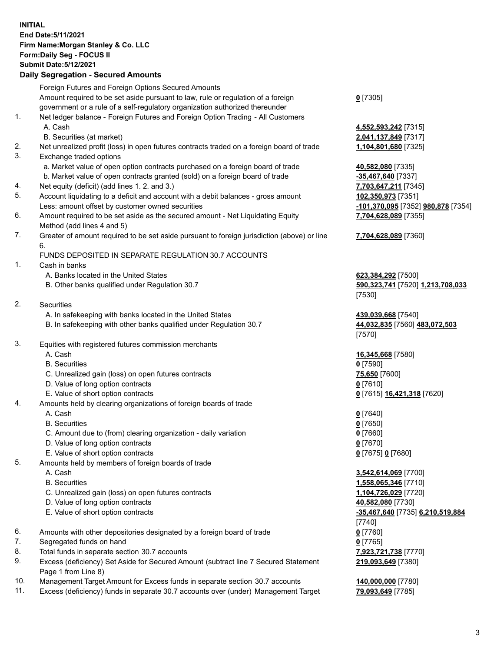## **INITIAL End Date:5/11/2021 Firm Name:Morgan Stanley & Co. LLC Form:Daily Seg - FOCUS II Submit Date:5/12/2021**

**Daily Segregation - Secured Amounts** Foreign Futures and Foreign Options Secured Amounts Amount required to be set aside pursuant to law, rule or regulation of a foreign government or a rule of a self-regulatory organization authorized thereunder 1. Net ledger balance - Foreign Futures and Foreign Option Trading - All Customers A. Cash **4,552,593,242** [7315] B. Securities (at market) **2,041,137,849** [7317] 2. Net unrealized profit (loss) in open futures contracts traded on a foreign board of trade **1,104,801,680** [7325] 3. Exchange traded options a. Market value of open option contracts purchased on a foreign board of trade **40,582,080** [7335] b. Market value of open contracts granted (sold) on a foreign board of trade **-35,467,640** [7337] 4. Net equity (deficit) (add lines 1. 2. and 3.) **7,703,647,211** [7345] 5. Account liquidating to a deficit and account with a debit balances - gross amount **102,350,973** [7351] Less: amount offset by customer owned securities **-101,370,095** [7352] **980,878** [7354] 6. Amount required to be set aside as the secured amount - Net Liquidating Equity Method (add lines 4 and 5) 7. Greater of amount required to be set aside pursuant to foreign jurisdiction (above) or line 6. FUNDS DEPOSITED IN SEPARATE REGULATION 30.7 ACCOUNTS 1. Cash in banks A. Banks located in the United States **623,384,292** [7500] B. Other banks qualified under Regulation 30.7 **590,323,741** [7520] **1,213,708,033** 2. Securities A. In safekeeping with banks located in the United States **439,039,668** [7540] B. In safekeeping with other banks qualified under Regulation 30.7 **44,032,835** [7560] **483,072,503** 3. Equities with registered futures commission merchants A. Cash **16,345,668** [7580] B. Securities **0** [7590] C. Unrealized gain (loss) on open futures contracts **75,650** [7600] D. Value of long option contracts **0** [7610] E. Value of short option contracts **0** [7615] **16,421,318** [7620] 4. Amounts held by clearing organizations of foreign boards of trade A. Cash **0** [7640] B. Securities **0** [7650] C. Amount due to (from) clearing organization - daily variation **0** [7660] D. Value of long option contracts **0** [7670] E. Value of short option contracts **0** [7675] **0** [7680]

- 5. Amounts held by members of foreign boards of trade
	-
	-
	- C. Unrealized gain (loss) on open futures contracts **1,104,726,029** [7720]
	- D. Value of long option contracts **40,582,080** [7730]
	-
- 6. Amounts with other depositories designated by a foreign board of trade **0** [7760]
- 7. Segregated funds on hand **0** [7765]
- 8. Total funds in separate section 30.7 accounts **7,923,721,738** [7770]
- 9. Excess (deficiency) Set Aside for Secured Amount (subtract line 7 Secured Statement Page 1 from Line 8)
- 10. Management Target Amount for Excess funds in separate section 30.7 accounts **140,000,000** [7780]
- 11. Excess (deficiency) funds in separate 30.7 accounts over (under) Management Target **79,093,649** [7785]

**0** [7305]

**7,704,628,089** [7355]

## **7,704,628,089** [7360]

[7530]

[7570]

 A. Cash **3,542,614,069** [7700] B. Securities **1,558,065,346** [7710] E. Value of short option contracts **-35,467,640** [7735] **6,210,519,884** [7740] **219,093,649** [7380]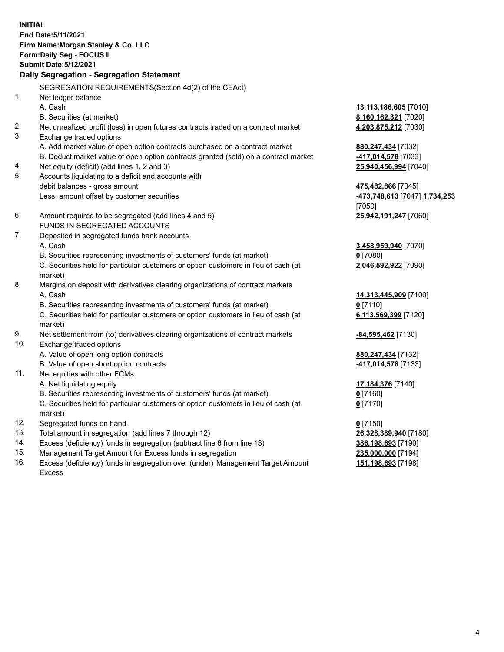**INITIAL End Date:5/11/2021 Firm Name:Morgan Stanley & Co. LLC Form:Daily Seg - FOCUS II Submit Date:5/12/2021 Daily Segregation - Segregation Statement** SEGREGATION REQUIREMENTS(Section 4d(2) of the CEAct) 1. Net ledger balance A. Cash **13,113,186,605** [7010] B. Securities (at market) **8,160,162,321** [7020] 2. Net unrealized profit (loss) in open futures contracts traded on a contract market **4,203,875,212** [7030] 3. Exchange traded options A. Add market value of open option contracts purchased on a contract market **880,247,434** [7032] B. Deduct market value of open option contracts granted (sold) on a contract market **-417,014,578** [7033] 4. Net equity (deficit) (add lines 1, 2 and 3) **25,940,456,994** [7040] 5. Accounts liquidating to a deficit and accounts with debit balances - gross amount **475,482,866** [7045] Less: amount offset by customer securities **-473,748,613** [7047] **1,734,253** [7050] 6. Amount required to be segregated (add lines 4 and 5) **25,942,191,247** [7060] FUNDS IN SEGREGATED ACCOUNTS 7. Deposited in segregated funds bank accounts A. Cash **3,458,959,940** [7070] B. Securities representing investments of customers' funds (at market) **0** [7080] C. Securities held for particular customers or option customers in lieu of cash (at market) **2,046,592,922** [7090] 8. Margins on deposit with derivatives clearing organizations of contract markets A. Cash **14,313,445,909** [7100] B. Securities representing investments of customers' funds (at market) **0** [7110] C. Securities held for particular customers or option customers in lieu of cash (at market) **6,113,569,399** [7120] 9. Net settlement from (to) derivatives clearing organizations of contract markets **-84,595,462** [7130] 10. Exchange traded options A. Value of open long option contracts **880,247,434** [7132] B. Value of open short option contracts **-417,014,578** [7133] 11. Net equities with other FCMs A. Net liquidating equity **17,184,376** [7140] B. Securities representing investments of customers' funds (at market) **0** [7160] C. Securities held for particular customers or option customers in lieu of cash (at market) **0** [7170] 12. Segregated funds on hand **0** [7150] 13. Total amount in segregation (add lines 7 through 12) **26,328,389,940** [7180] 14. Excess (deficiency) funds in segregation (subtract line 6 from line 13) **386,198,693** [7190] 15. Management Target Amount for Excess funds in segregation **235,000,000** [7194]

16. Excess (deficiency) funds in segregation over (under) Management Target Amount Excess

**151,198,693** [7198]